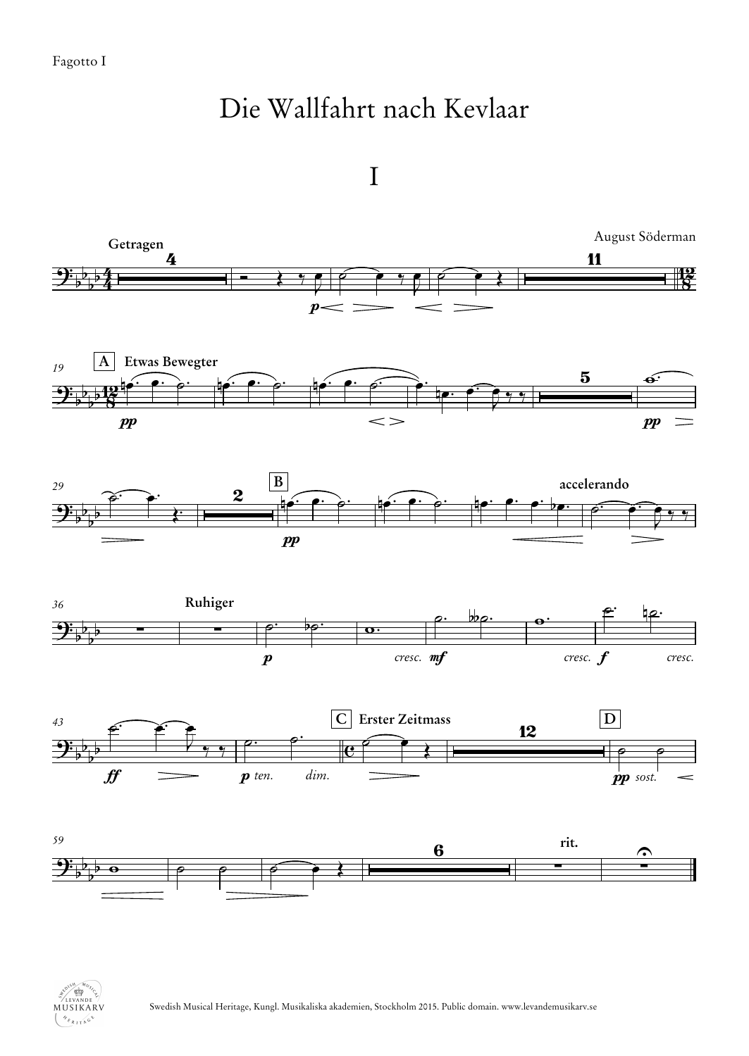## Die Wallfahrt nach Kevlaar

I



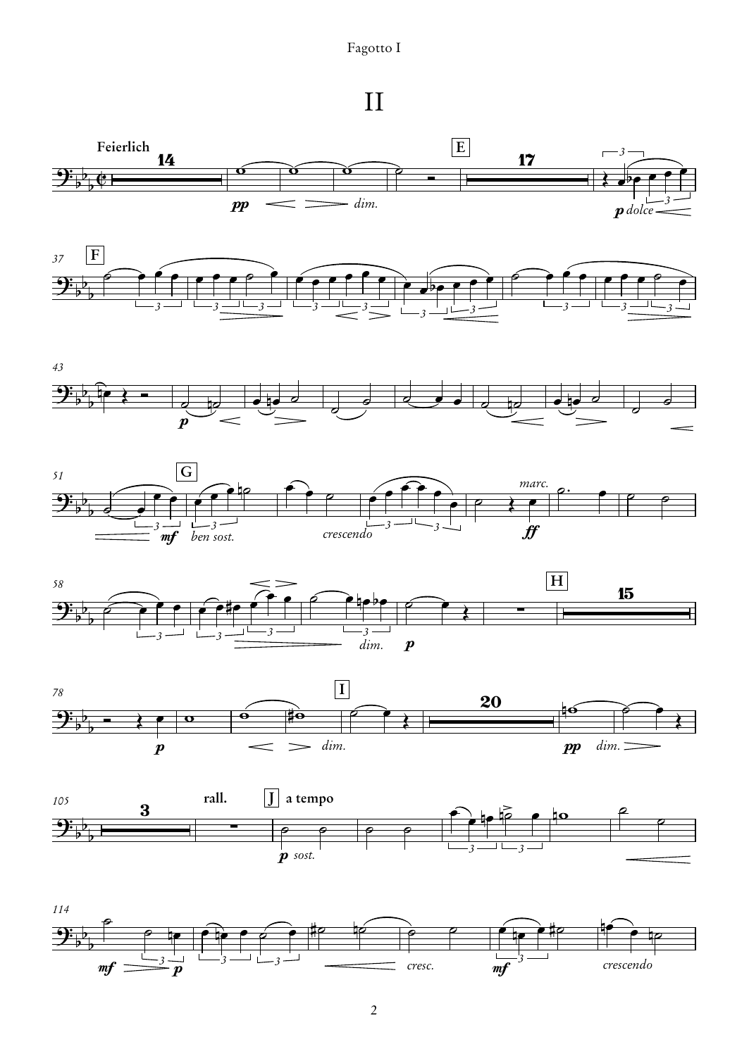Fagotto I

II